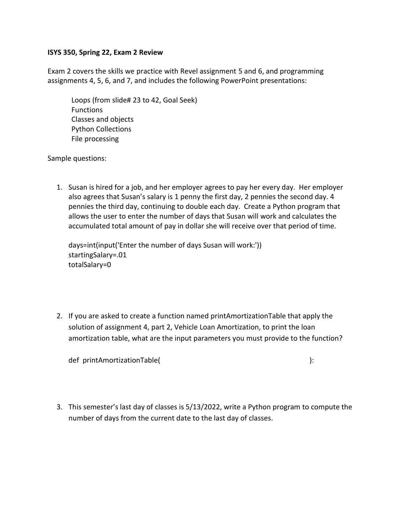## **ISYS 350, Spring 22, Exam 2 Review**

Exam 2 covers the skills we practice with Revel assignment 5 and 6, and programming assignments 4, 5, 6, and 7, and includes the following PowerPoint presentations:

Loops (from slide# 23 to 42, Goal Seek) Functions Classes and objects Python Collections File processing

Sample questions:

1. Susan is hired for a job, and her employer agrees to pay her every day. Her employer also agrees that Susan's salary is 1 penny the first day, 2 pennies the second day. 4 pennies the third day, continuing to double each day. Create a Python program that allows the user to enter the number of days that Susan will work and calculates the accumulated total amount of pay in dollar she will receive over that period of time.

days=int(input('Enter the number of days Susan will work:')) startingSalary=.01 totalSalary=0

2. If you are asked to create a function named printAmortizationTable that apply the solution of assignment 4, part 2, Vehicle Loan Amortization, to print the loan amortization table, what are the input parameters you must provide to the function?

def printAmortizationTable( ): (): ()

3. This semester's last day of classes is 5/13/2022, write a Python program to compute the number of days from the current date to the last day of classes.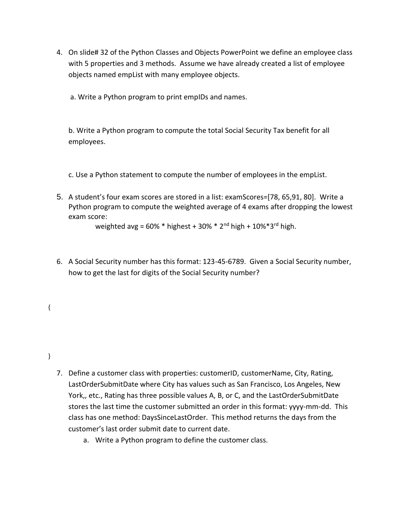- 4. On slide# 32 of the Python Classes and Objects PowerPoint we define an employee class with 5 properties and 3 methods. Assume we have already created a list of employee objects named empList with many employee objects.
	- a. Write a Python program to print empIDs and names.

b. Write a Python program to compute the total Social Security Tax benefit for all employees.

- c. Use a Python statement to compute the number of employees in the empList.
- 5. A student's four exam scores are stored in a list: examScores=[78, 65,91, 80]. Write a Python program to compute the weighted average of 4 exams after dropping the lowest exam score:

weighted avg =  $60\%$  \* highest +  $30\%$  \*  $2^{nd}$  high +  $10\%$  \* $3^{rd}$  high.

6. A Social Security number has this format: 123-45-6789. Given a Social Security number, how to get the last for digits of the Social Security number?

}

{

- 7. Define a customer class with properties: customerID, customerName, City, Rating, LastOrderSubmitDate where City has values such as San Francisco, Los Angeles, New York,, etc., Rating has three possible values A, B, or C, and the LastOrderSubmitDate stores the last time the customer submitted an order in this format: yyyy-mm-dd. This class has one method: DaysSinceLastOrder. This method returns the days from the customer's last order submit date to current date.
	- a. Write a Python program to define the customer class.